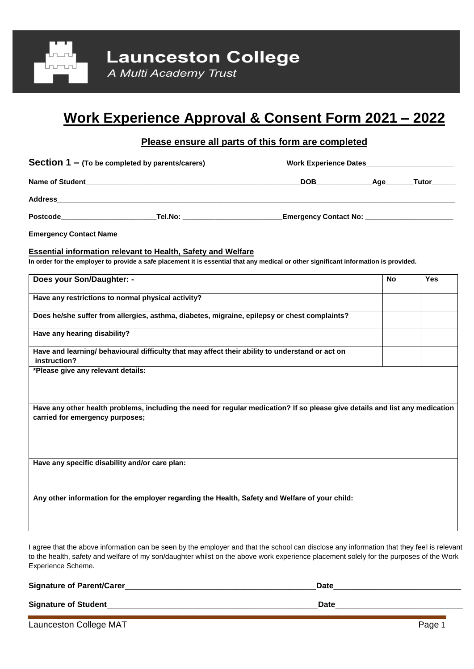

# **Work Experience Approval & Consent Form 2021 – 2022**

# **Please ensure all parts of this form are completed**

Section 1 – (To be completed by parents/carers) **Work Experience Dates** 

| Name of ˈ<br>` Student | DOR | 1 ~ · | uto <sup>.</sup> |  |
|------------------------|-----|-------|------------------|--|
|                        | --- |       |                  |  |

 $\blacktriangle$   $Address$ 

**Postcode\_\_\_\_\_\_\_\_\_\_\_\_\_\_\_\_\_\_\_\_\_\_\_\_Tel.No: \_\_\_\_\_\_\_\_\_\_\_\_\_\_\_\_\_\_\_\_\_\_\_\_\_Emergency Contact No: \_\_\_\_\_\_\_\_\_\_\_\_\_\_\_\_\_\_\_\_\_\_**

**Emergency Contact Name\_\_\_\_\_\_\_\_\_\_\_\_\_\_\_\_\_\_\_\_\_\_\_\_\_\_\_\_\_\_\_\_\_\_\_\_\_\_\_\_\_\_\_\_\_\_\_\_\_\_\_\_\_\_\_\_\_\_\_\_\_\_\_\_\_\_\_\_\_\_\_\_\_\_\_\_\_\_\_\_\_\_\_\_\_**

#### **Essential information relevant to Health, Safety and Welfare**

**In order for the employer to provide a safe placement it is essential that any medical or other significant information is provided.**

| Does your Son/Daughter: -                                                                                                                                       | <b>No</b> | <b>Yes</b> |
|-----------------------------------------------------------------------------------------------------------------------------------------------------------------|-----------|------------|
| Have any restrictions to normal physical activity?                                                                                                              |           |            |
| Does he/she suffer from allergies, asthma, diabetes, migraine, epilepsy or chest complaints?                                                                    |           |            |
| Have any hearing disability?                                                                                                                                    |           |            |
| Have and learning/ behavioural difficulty that may affect their ability to understand or act on<br>instruction?                                                 |           |            |
| *Please give any relevant details:                                                                                                                              |           |            |
|                                                                                                                                                                 |           |            |
| Have any other health problems, including the need for regular medication? If so please give details and list any medication<br>carried for emergency purposes; |           |            |
|                                                                                                                                                                 |           |            |
|                                                                                                                                                                 |           |            |
| Have any specific disability and/or care plan:                                                                                                                  |           |            |
|                                                                                                                                                                 |           |            |
| Any other information for the employer regarding the Health, Safety and Welfare of your child:                                                                  |           |            |
|                                                                                                                                                                 |           |            |
|                                                                                                                                                                 |           |            |

I agree that the above information can be seen by the employer and that the school can disclose any information that they feel is relevant to the health, safety and welfare of my son/daughter whilst on the above work experience placement solely for the purposes of the Work Experience Scheme.

| <b>Signature of Parent/Carer_</b> | Date |  |
|-----------------------------------|------|--|
| <b>Signature of Student</b>       | Date |  |

Launceston College MAT Page 1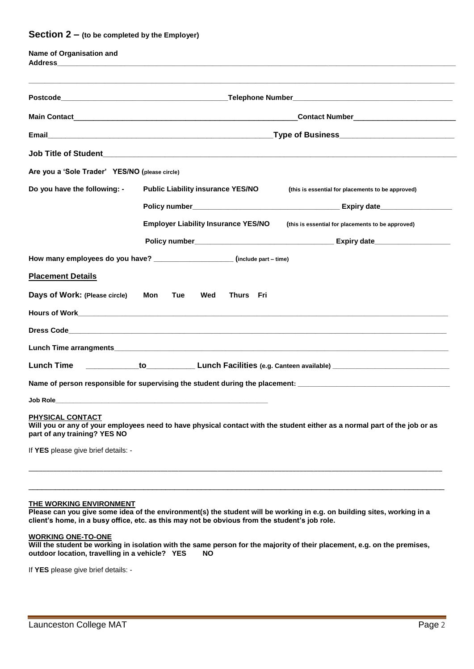#### **Section 2 – (to be completed by the Employer)**

| Name of Organisation and                                |                                                                              |                                                                                                                           |  |
|---------------------------------------------------------|------------------------------------------------------------------------------|---------------------------------------------------------------------------------------------------------------------------|--|
|                                                         |                                                                              |                                                                                                                           |  |
|                                                         |                                                                              | _Contact Number______________________________                                                                             |  |
|                                                         |                                                                              |                                                                                                                           |  |
|                                                         |                                                                              |                                                                                                                           |  |
| Are you a 'Sole Trader' YES/NO (please circle)          |                                                                              |                                                                                                                           |  |
| Do you have the following: -                            | <b>Public Liability insurance YES/NO</b>                                     | (this is essential for placements to be approved)                                                                         |  |
|                                                         |                                                                              |                                                                                                                           |  |
|                                                         | <b>Employer Liability Insurance YES/NO</b>                                   | (this is essential for placements to be approved)                                                                         |  |
|                                                         |                                                                              |                                                                                                                           |  |
|                                                         | How many employees do you have? ______________________ (include part - time) |                                                                                                                           |  |
| <b>Placement Details</b>                                |                                                                              |                                                                                                                           |  |
| Days of Work: (Please circle)                           | Mon<br>Tue<br>Wed<br>Thurs Fri                                               |                                                                                                                           |  |
|                                                         |                                                                              |                                                                                                                           |  |
|                                                         |                                                                              |                                                                                                                           |  |
|                                                         |                                                                              |                                                                                                                           |  |
| Lunch Time                                              |                                                                              |                                                                                                                           |  |
|                                                         |                                                                              | Name of person responsible for supervising the student during the placement: _________________________________            |  |
| Job Role_                                               |                                                                              |                                                                                                                           |  |
| <b>PHYSICAL CONTACT</b><br>part of any training? YES NO |                                                                              | Will you or any of your employees need to have physical contact with the student either as a normal part of the job or as |  |
| If YES please give brief details: -                     |                                                                              |                                                                                                                           |  |

#### **THE WORKING ENVIRONMENT**

**Please can you give some idea of the environment(s) the student will be working in e.g. on building sites, working in a client's home, in a busy office, etc. as this may not be obvious from the student's job role.** 

\_\_\_\_\_\_\_\_\_\_\_\_\_\_\_\_\_\_\_\_\_\_\_\_\_\_\_\_\_\_\_\_\_\_\_\_\_\_\_\_\_\_\_\_\_\_\_\_\_\_\_\_\_\_\_\_\_\_\_\_\_\_\_\_\_\_\_\_\_\_\_\_\_\_\_\_\_\_\_\_\_\_\_\_\_\_\_\_\_\_\_\_\_\_

#### **WORKING ONE-TO-ONE**

**Will the student be working in isolation with the same person for the majority of their placement, e.g. on the premises, outdoor location, travelling in a vehicle? YES NO** 

If **YES** please give brief details: -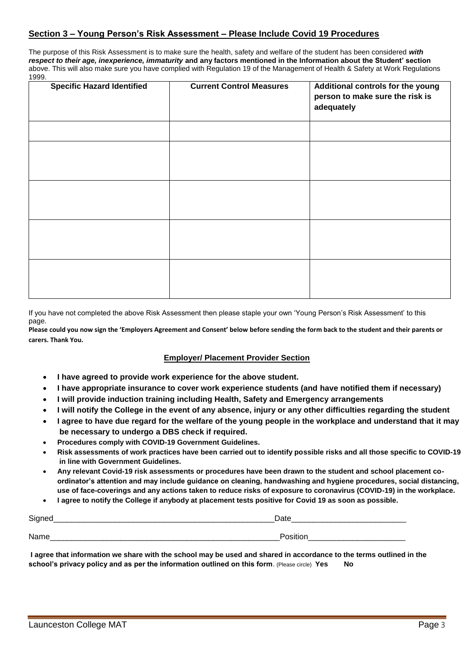## **Section 3 – Young Person's Risk Assessment – Please Include Covid 19 Procedures**

The purpose of this Risk Assessment is to make sure the health, safety and welfare of the student has been considered *with respect to their age, inexperience, immaturity* **and any factors mentioned in the Information about the Student' section**  above. This will also make sure you have complied with Regulation 19 of the Management of Health & Safety at Work Regulations 1999.

| <b>Specific Hazard Identified</b> | <b>Current Control Measures</b> | Additional controls for the young<br>person to make sure the risk is<br>adequately |
|-----------------------------------|---------------------------------|------------------------------------------------------------------------------------|
|                                   |                                 |                                                                                    |
|                                   |                                 |                                                                                    |
|                                   |                                 |                                                                                    |
|                                   |                                 |                                                                                    |
|                                   |                                 |                                                                                    |
|                                   |                                 |                                                                                    |
|                                   |                                 |                                                                                    |
|                                   |                                 |                                                                                    |
|                                   |                                 |                                                                                    |

If you have not completed the above Risk Assessment then please staple your own 'Young Person's Risk Assessment' to this page.

**Please could you now sign the 'Employers Agreement and Consent' below before sending the form back to the student and their parents or carers. Thank You.**

### **Employer/ Placement Provider Section**

- **I have agreed to provide work experience for the above student.**
- **I have appropriate insurance to cover work experience students (and have notified them if necessary)**
- **I will provide induction training including Health, Safety and Emergency arrangements**
- **I will notify the College in the event of any absence, injury or any other difficulties regarding the student**
- **I agree to have due regard for the welfare of the young people in the workplace and understand that it may be necessary to undergo a DBS check if required.**
- **Procedures comply with COVID-19 Government Guidelines.**
- **Risk assessments of work practices have been carried out to identify possible risks and all those specific to COVID-19 in line with Government Guidelines.**
- **Any relevant Covid-19 risk assessments or procedures have been drawn to the student and school placement coordinator's attention and may include guidance on cleaning, handwashing and hygiene procedures, social distancing, use of face-coverings and any actions taken to reduce risks of exposure to coronavirus (COVID-19) in the workplace.**
- **I agree to notify the College if anybody at placement tests positive for Covid 19 as soon as possible.**

| C <sub>1</sub><br>.    | αιτ                   |  |
|------------------------|-----------------------|--|
| N<br>________<br>_____ | _____________________ |  |

**I agree that information we share with the school may be used and shared in accordance to the terms outlined in the school's privacy policy and as per the information outlined on this form**. (Please circle) **Yes No**